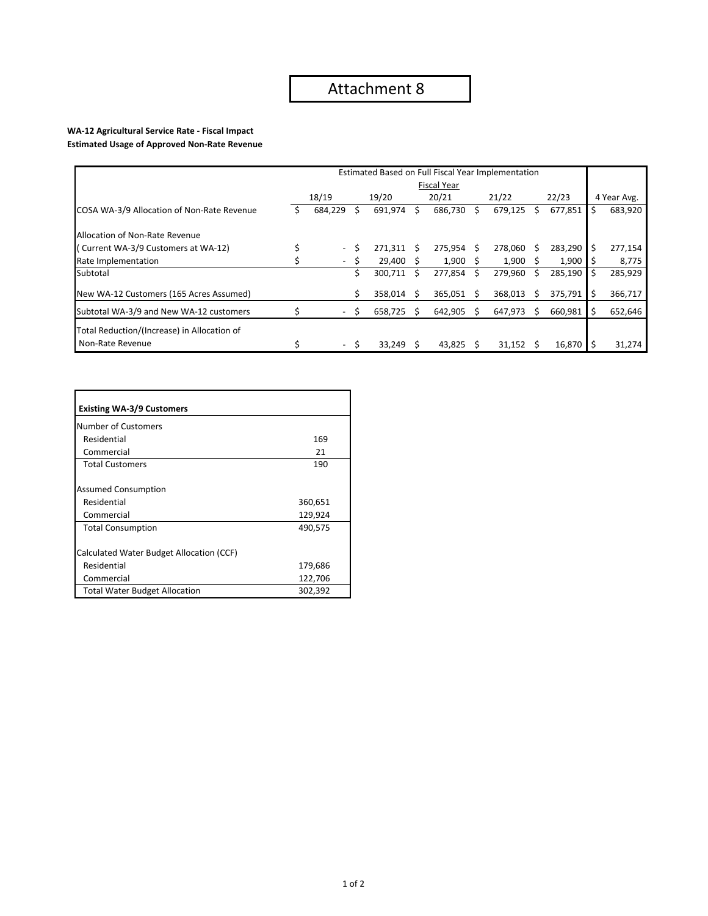## **WA‐12 Agricultural Service Rate ‐ Fiscal Impact**

**Estimated Usage of Approved Non‐Rate Revenue**

| Estimated Based on Full Fiscal Year Implementation |                    |                          |    |            |    |              |    |         |              |         |    |             |
|----------------------------------------------------|--------------------|--------------------------|----|------------|----|--------------|----|---------|--------------|---------|----|-------------|
|                                                    | <b>Fiscal Year</b> |                          |    |            |    |              |    |         |              |         |    |             |
|                                                    |                    | 18/19                    |    | 19/20      |    | 20/21        |    | 21/22   |              | 22/23   |    | 4 Year Avg. |
| COSA WA-3/9 Allocation of Non-Rate Revenue         |                    | 684,229                  | Ś. | 691,974    | S. | 686,730 \$   |    | 679,125 | S            | 677,851 | \$ | 683,920     |
| Allocation of Non-Rate Revenue                     |                    |                          |    |            |    |              |    |         |              |         |    |             |
| (Current WA-3/9 Customers at WA-12)                |                    | $\overline{\phantom{a}}$ | Ś  | 271.311 \$ |    | $275,954$ \$ |    | 278.060 | S            | 283,290 |    | 277,154     |
| Rate Implementation                                |                    | $\overline{\phantom{a}}$ | S  | 29,400     |    | 1,900        |    | 1.900   | <sub>S</sub> | 1,900   |    | 8,775       |
| Subtotal                                           |                    |                          | Ś  | 300,711    | Ŝ. | 277,854      | S. | 279,960 | Ŝ            | 285,190 | S  | 285,929     |
| New WA-12 Customers (165 Acres Assumed)            |                    |                          | Ś. | 358.014    | -S | $365,051$ \$ |    | 368,013 | S            | 375,791 | \$ | 366,717     |
| Subtotal WA-3/9 and New WA-12 customers            |                    | $\blacksquare$           | S  | 658,725    | S. | 642,905      | -S | 647,973 | S            | 660,981 | Ś  | 652,646     |
| Total Reduction/(Increase) in Allocation of        |                    |                          |    |            |    |              |    |         |              |         |    |             |
| Non-Rate Revenue                                   |                    | $\sim$                   | S  | 33,249     |    | 43,825       |    | 31,152  |              | 16,870  |    | 31,274      |

| <b>Existing WA-3/9 Customers</b>         |         |
|------------------------------------------|---------|
| Number of Customers                      |         |
| Residential                              | 169     |
| Commercial                               | 21      |
| <b>Total Customers</b>                   | 190     |
| <b>Assumed Consumption</b>               |         |
| Residential                              | 360,651 |
| Commercial                               | 129,924 |
| <b>Total Consumption</b>                 | 490,575 |
| Calculated Water Budget Allocation (CCF) |         |
| Residential                              | 179,686 |
| Commercial                               | 122,706 |
| <b>Total Water Budget Allocation</b>     | 302,392 |